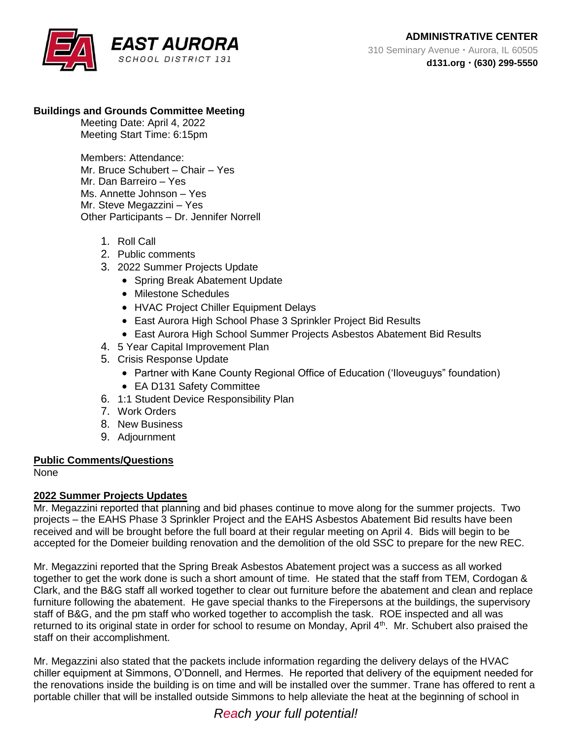# **Buildings and Grounds Committee Meeting**

Meeting Date: April 4, 2022 Meeting Start Time: 6:15pm

Members: Attendance: Mr. Bruce Schubert – Chair – Yes Mr. Dan Barreiro – Yes Ms. Annette Johnson – Yes Mr. Steve Megazzini – Yes Other Participants – Dr. Jennifer Norrell

- 1. Roll Call
- 2. Public comments
- 3. 2022 Summer Projects Update
	- Spring Break Abatement Update
	- Milestone Schedules
	- HVAC Project Chiller Equipment Delays
	- East Aurora High School Phase 3 Sprinkler Project Bid Results
	- East Aurora High School Summer Projects Asbestos Abatement Bid Results
- 4. 5 Year Capital Improvement Plan
- 5. Crisis Response Update
	- Partner with Kane County Regional Office of Education ('Iloveuguys" foundation)
	- EA D131 Safety Committee
- 6. 1:1 Student Device Responsibility Plan
- 7. Work Orders
- 8. New Business
- 9. Adjournment

## **Public Comments/Questions**

None

## **2022 Summer Projects Updates**

Mr. Megazzini reported that planning and bid phases continue to move along for the summer projects. Two projects – the EAHS Phase 3 Sprinkler Project and the EAHS Asbestos Abatement Bid results have been received and will be brought before the full board at their regular meeting on April 4. Bids will begin to be accepted for the Domeier building renovation and the demolition of the old SSC to prepare for the new REC.

Mr. Megazzini reported that the Spring Break Asbestos Abatement project was a success as all worked together to get the work done is such a short amount of time. He stated that the staff from TEM, Cordogan & Clark, and the B&G staff all worked together to clear out furniture before the abatement and clean and replace furniture following the abatement. He gave special thanks to the Firepersons at the buildings, the supervisory staff of B&G, and the pm staff who worked together to accomplish the task. ROE inspected and all was returned to its original state in order for school to resume on Monday, April 4<sup>th</sup>. Mr. Schubert also praised the staff on their accomplishment.

Mr. Megazzini also stated that the packets include information regarding the delivery delays of the HVAC chiller equipment at Simmons, O'Donnell, and Hermes. He reported that delivery of the equipment needed for the renovations inside the building is on time and will be installed over the summer. Trane has offered to rent a portable chiller that will be installed outside Simmons to help alleviate the heat at the beginning of school in

*Reach your full potential!*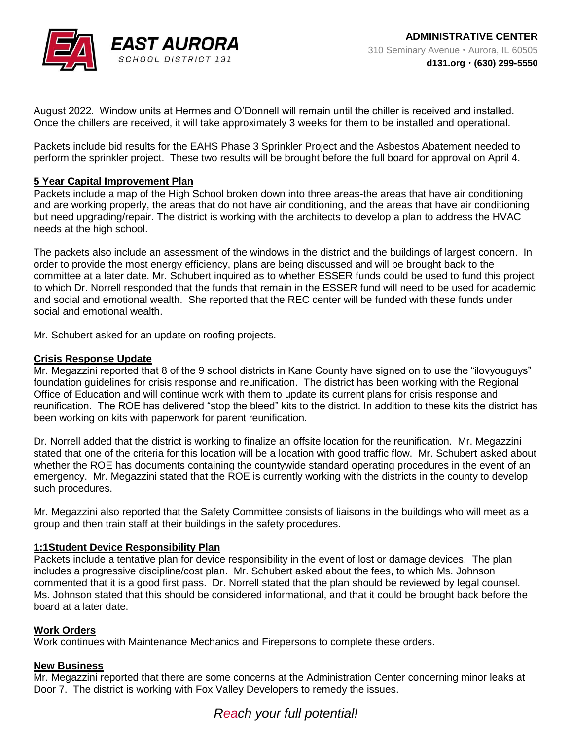

August 2022. Window units at Hermes and O'Donnell will remain until the chiller is received and installed. Once the chillers are received, it will take approximately 3 weeks for them to be installed and operational.

Packets include bid results for the EAHS Phase 3 Sprinkler Project and the Asbestos Abatement needed to perform the sprinkler project. These two results will be brought before the full board for approval on April 4.

### **5 Year Capital Improvement Plan**

Packets include a map of the High School broken down into three areas-the areas that have air conditioning and are working properly, the areas that do not have air conditioning, and the areas that have air conditioning but need upgrading/repair. The district is working with the architects to develop a plan to address the HVAC needs at the high school.

The packets also include an assessment of the windows in the district and the buildings of largest concern. In order to provide the most energy efficiency, plans are being discussed and will be brought back to the committee at a later date. Mr. Schubert inquired as to whether ESSER funds could be used to fund this project to which Dr. Norrell responded that the funds that remain in the ESSER fund will need to be used for academic and social and emotional wealth. She reported that the REC center will be funded with these funds under social and emotional wealth.

Mr. Schubert asked for an update on roofing projects.

### **Crisis Response Update**

Mr. Megazzini reported that 8 of the 9 school districts in Kane County have signed on to use the "ilovyouguys" foundation guidelines for crisis response and reunification. The district has been working with the Regional Office of Education and will continue work with them to update its current plans for crisis response and reunification. The ROE has delivered "stop the bleed" kits to the district. In addition to these kits the district has been working on kits with paperwork for parent reunification.

Dr. Norrell added that the district is working to finalize an offsite location for the reunification. Mr. Megazzini stated that one of the criteria for this location will be a location with good traffic flow. Mr. Schubert asked about whether the ROE has documents containing the countywide standard operating procedures in the event of an emergency. Mr. Megazzini stated that the ROE is currently working with the districts in the county to develop such procedures.

Mr. Megazzini also reported that the Safety Committee consists of liaisons in the buildings who will meet as a group and then train staff at their buildings in the safety procedures.

## **1:1Student Device Responsibility Plan**

Packets include a tentative plan for device responsibility in the event of lost or damage devices. The plan includes a progressive discipline/cost plan. Mr. Schubert asked about the fees, to which Ms. Johnson commented that it is a good first pass. Dr. Norrell stated that the plan should be reviewed by legal counsel. Ms. Johnson stated that this should be considered informational, and that it could be brought back before the board at a later date.

#### **Work Orders**

Work continues with Maintenance Mechanics and Firepersons to complete these orders.

## **New Business**

Mr. Megazzini reported that there are some concerns at the Administration Center concerning minor leaks at Door 7. The district is working with Fox Valley Developers to remedy the issues.